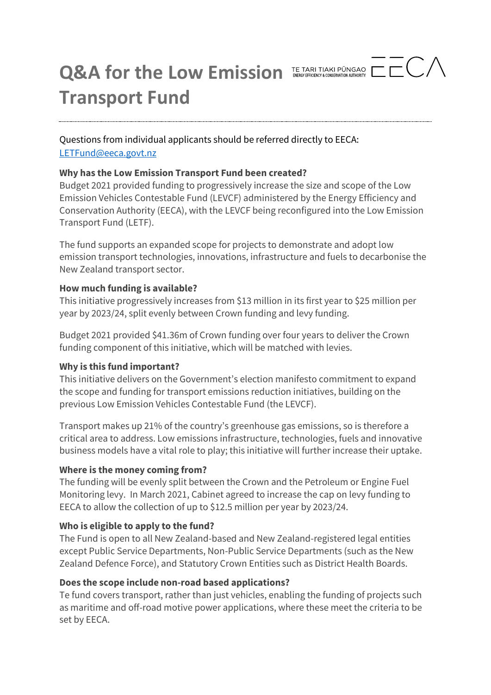

Questions from individual applicants should be referred directly to EECA: [LETFund@eeca.govt.nz](mailto:LETFund@eeca.govt.nz)

### **Why has the Low Emission Transport Fund been created?**

Budget 2021 provided funding to progressively increase the size and scope of the Low Emission Vehicles Contestable Fund (LEVCF) administered by the Energy Efficiency and Conservation Authority (EECA), with the LEVCF being reconfigured into the Low Emission Transport Fund (LETF).

The fund supports an expanded scope for projects to demonstrate and adopt low emission transport technologies, innovations, infrastructure and fuels to decarbonise the New Zealand transport sector.

# **How much funding is available?**

This initiative progressively increases from \$13 million in its first year to \$25 million per year by 2023/24, split evenly between Crown funding and levy funding.

Budget 2021 provided \$41.36m of Crown funding over four years to deliver the Crown funding component of this initiative, which will be matched with levies.

### **Why is this fund important?**

This initiative delivers on the Government's election manifesto commitment to expand the scope and funding for transport emissions reduction initiatives, building on the previous Low Emission Vehicles Contestable Fund (the LEVCF).

Transport makes up 21% of the country's greenhouse gas emissions, so is therefore a critical area to address. Low emissions infrastructure, technologies, fuels and innovative business models have a vital role to play; this initiative will further increase their uptake.

### **Where is the money coming from?**

The funding will be evenly split between the Crown and the Petroleum or Engine Fuel Monitoring levy. In March 2021, Cabinet agreed to increase the cap on levy funding to EECA to allow the collection of up to \$12.5 million per year by 2023/24.

# **Who is eligible to apply to the fund?**

The Fund is open to all New Zealand-based and New Zealand-registered legal entities except Public Service Departments, Non-Public Service Departments (such as the New Zealand Defence Force), and Statutory Crown Entities such as District Health Boards.

# **Does the scope include non-road based applications?**

Te fund covers transport, rather than just vehicles, enabling the funding of projects such as maritime and off-road motive power applications, where these meet the criteria to be set by EECA.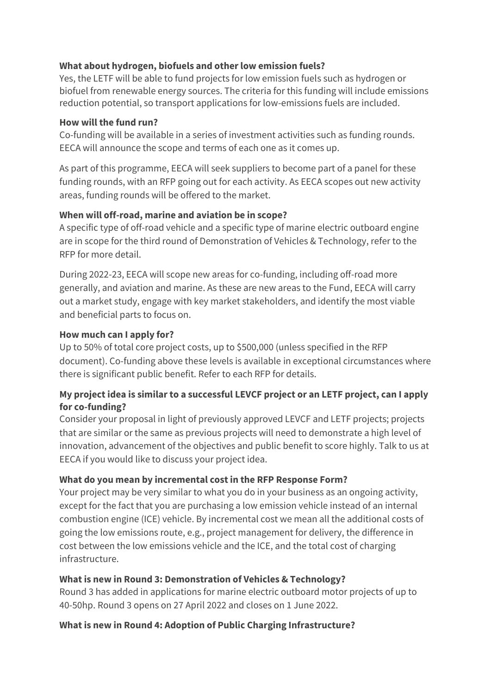## **What about hydrogen, biofuels and other low emission fuels?**

Yes, the LETF will be able to fund projects for low emission fuels such as hydrogen or biofuel from renewable energy sources. The criteria for this funding will include emissions reduction potential, so transport applications for low-emissions fuels are included.

#### **How will the fund run?**

Co-funding will be available in a series of investment activities such as funding rounds. EECA will announce the scope and terms of each one as it comes up.

As part of this programme, EECA will seek suppliers to become part of a panel for these funding rounds, with an RFP going out for each activity. As EECA scopes out new activity areas, funding rounds will be offered to the market.

## **When will off-road, marine and aviation be in scope?**

A specific type of off-road vehicle and a specific type of marine electric outboard engine are in scope for the third round of Demonstration of Vehicles & Technology, refer to the RFP for more detail.

During 2022-23, EECA will scope new areas for co-funding, including off-road more generally, and aviation and marine. As these are new areas to the Fund, EECA will carry out a market study, engage with key market stakeholders, and identify the most viable and beneficial parts to focus on.

### **How much can I apply for?**

Up to 50% of total core project costs, up to \$500,000 (unless specified in the RFP document). Co-funding above these levels is available in exceptional circumstances where there is significant public benefit. Refer to each RFP for details.

# **My project idea is similar to a successful LEVCF project or an LETF project, can I apply for co-funding?**

Consider your proposal in light of previously approved LEVCF and LETF projects; projects that are similar or the same as previous projects will need to demonstrate a high level of innovation, advancement of the objectives and public benefit to score highly. Talk to us at EECA if you would like to discuss your project idea.

### **What do you mean by incremental cost in the RFP Response Form?**

Your project may be very similar to what you do in your business as an ongoing activity, except for the fact that you are purchasing a low emission vehicle instead of an internal combustion engine (ICE) vehicle. By incremental cost we mean all the additional costs of going the low emissions route, e.g., project management for delivery, the difference in cost between the low emissions vehicle and the ICE, and the total cost of charging infrastructure.

### **What is new in Round 3: Demonstration of Vehicles & Technology?**

Round 3 has added in applications for marine electric outboard motor projects of up to 40-50hp. Round 3 opens on 27 April 2022 and closes on 1 June 2022.

# **What is new in Round 4: Adoption of Public Charging Infrastructure?**